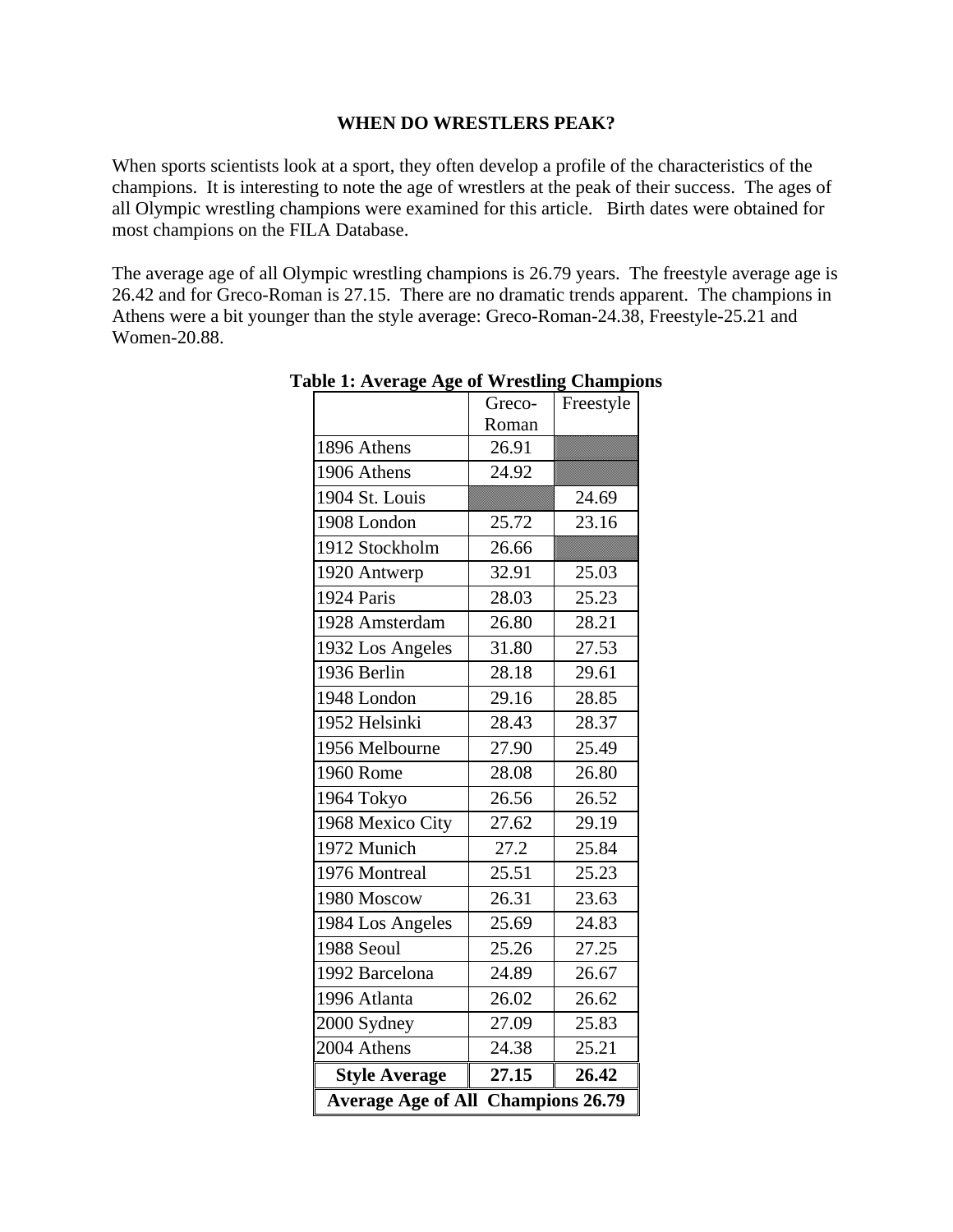#### **WHEN DO WRESTLERS PEAK?**

When sports scientists look at a sport, they often develop a profile of the characteristics of the champions. It is interesting to note the age of wrestlers at the peak of their success. The ages of all Olympic wrestling champions were examined for this article. Birth dates were obtained for most champions on the FILA Database.

The average age of all Olympic wrestling champions is 26.79 years. The freestyle average age is 26.42 and for Greco-Roman is 27.15. There are no dramatic trends apparent. The champions in Athens were a bit younger than the style average: Greco-Roman-24.38, Freestyle-25.21 and Women-20.88.

|                                                     | Greco- | Freestyle |  |
|-----------------------------------------------------|--------|-----------|--|
|                                                     | Roman  |           |  |
| 1896 Athens                                         | 26.91  |           |  |
| 1906 Athens                                         | 24.92  |           |  |
| 1904 St. Louis                                      |        | 24.69     |  |
| 1908 London                                         | 25.72  | 23.16     |  |
| 1912 Stockholm                                      | 26.66  |           |  |
| 1920 Antwerp                                        | 32.91  | 25.03     |  |
| 1924 Paris                                          | 28.03  | 25.23     |  |
| 1928 Amsterdam                                      | 26.80  | 28.21     |  |
| 1932 Los Angeles                                    | 31.80  | 27.53     |  |
| 1936 Berlin                                         | 28.18  | 29.61     |  |
| 1948 London                                         | 29.16  | 28.85     |  |
| 1952 Helsinki                                       | 28.43  | 28.37     |  |
| 1956 Melbourne                                      | 27.90  | 25.49     |  |
| 1960 Rome                                           | 28.08  | 26.80     |  |
| 1964 Tokyo                                          | 26.56  | 26.52     |  |
| 1968 Mexico City                                    | 27.62  | 29.19     |  |
| 1972 Munich                                         | 27.2   | 25.84     |  |
| 1976 Montreal                                       | 25.51  | 25.23     |  |
| 1980 Moscow                                         | 26.31  | 23.63     |  |
| 1984 Los Angeles                                    | 25.69  | 24.83     |  |
| 1988 Seoul                                          | 25.26  | 27.25     |  |
| 1992 Barcelona                                      | 24.89  | 26.67     |  |
| 1996 Atlanta                                        | 26.02  | 26.62     |  |
| 2000 Sydney                                         | 27.09  | 25.83     |  |
| 2004 Athens                                         | 24.38  | 25.21     |  |
| <b>Style Average</b>                                | 27.15  | 26.42     |  |
| <b>Champions 26.79</b><br><b>Average Age of All</b> |        |           |  |

**Table 1: Average Age of Wrestling Champions**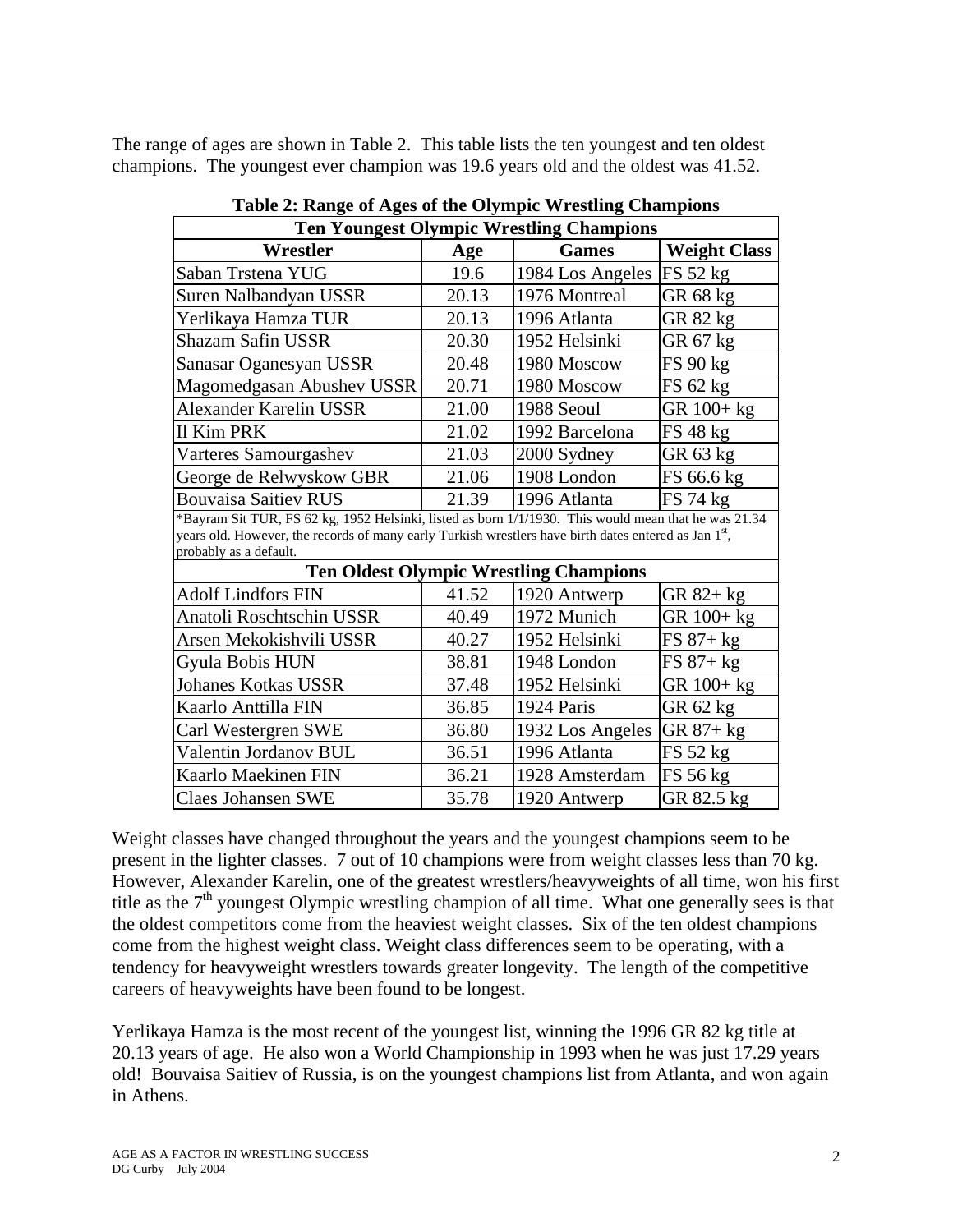The range of ages are shown in Table 2. This table lists the ten youngest and ten oldest champions. The youngest ever champion was 19.6 years old and the oldest was 41.52.

| <b>Ten Youngest Olympic Wrestling Champions</b>                                                                                |       |                                               |                     |  |
|--------------------------------------------------------------------------------------------------------------------------------|-------|-----------------------------------------------|---------------------|--|
| Wrestler                                                                                                                       | Age   | <b>Games</b>                                  | <b>Weight Class</b> |  |
| Saban Trstena YUG                                                                                                              | 19.6  | 1984 Los Angeles                              | FS 52 kg            |  |
| Suren Nalbandyan USSR                                                                                                          | 20.13 | 1976 Montreal                                 | GR 68 kg            |  |
| Yerlikaya Hamza TUR                                                                                                            | 20.13 | 1996 Atlanta                                  | GR 82 kg            |  |
| Shazam Safin USSR                                                                                                              | 20.30 | 1952 Helsinki                                 | GR 67 kg            |  |
| Sanasar Oganesyan USSR                                                                                                         | 20.48 | 1980 Moscow                                   | FS 90 kg            |  |
| Magomedgasan Abushev USSR                                                                                                      | 20.71 | 1980 Moscow                                   | FS 62 kg            |  |
| Alexander Karelin USSR                                                                                                         | 21.00 | 1988 Seoul                                    | GR 100+ kg          |  |
| <b>Il Kim PRK</b>                                                                                                              | 21.02 | 1992 Barcelona                                | FS 48 kg            |  |
| Varteres Samourgashev                                                                                                          | 21.03 | 2000 Sydney                                   | GR 63 kg            |  |
| George de Relwyskow GBR                                                                                                        | 21.06 | 1908 London                                   | FS 66.6 kg          |  |
| <b>Bouvaisa Saitiev RUS</b>                                                                                                    | 21.39 | 1996 Atlanta                                  | FS 74 kg            |  |
| *Bayram Sit TUR, FS 62 kg, 1952 Helsinki, listed as born 1/1/1930. This would mean that he was 21.34                           |       |                                               |                     |  |
| years old. However, the records of many early Turkish wrestlers have birth dates entered as Jan 1st,<br>probably as a default. |       |                                               |                     |  |
|                                                                                                                                |       | <b>Ten Oldest Olympic Wrestling Champions</b> |                     |  |
| <b>Adolf Lindfors FIN</b>                                                                                                      | 41.52 | 1920 Antwerp                                  | GR 82+ kg           |  |
| Anatoli Roschtschin USSR                                                                                                       | 40.49 | 1972 Munich                                   | GR 100+ kg          |  |
| Arsen Mekokishvili USSR                                                                                                        | 40.27 | 1952 Helsinki                                 | $FS 87+kg$          |  |
| Gyula Bobis HUN                                                                                                                | 38.81 | 1948 London                                   | $FS 87 + kg$        |  |
| <b>Johanes Kotkas USSR</b>                                                                                                     | 37.48 | 1952 Helsinki                                 | $GR 100 + kg$       |  |
| Kaarlo Anttilla FIN                                                                                                            | 36.85 | 1924 Paris                                    | GR 62 kg            |  |
| Carl Westergren SWE                                                                                                            | 36.80 | 1932 Los Angeles                              | GR $87 + kg$        |  |
| Valentin Jordanov BUL                                                                                                          | 36.51 | 1996 Atlanta                                  | FS 52 kg            |  |
| Kaarlo Maekinen FIN                                                                                                            | 36.21 | 1928 Amsterdam                                | FS 56 kg            |  |
| <b>Claes Johansen SWE</b>                                                                                                      | 35.78 | 1920 Antwerp                                  | GR 82.5 kg          |  |

**Table 2: Range of Ages of the Olympic Wrestling Champions** 

Weight classes have changed throughout the years and the youngest champions seem to be present in the lighter classes. 7 out of 10 champions were from weight classes less than 70 kg. However, Alexander Karelin, one of the greatest wrestlers/heavyweights of all time, won his first title as the  $7<sup>th</sup>$  youngest Olympic wrestling champion of all time. What one generally sees is that the oldest competitors come from the heaviest weight classes. Six of the ten oldest champions come from the highest weight class. Weight class differences seem to be operating, with a tendency for heavyweight wrestlers towards greater longevity. The length of the competitive careers of heavyweights have been found to be longest.

Yerlikaya Hamza is the most recent of the youngest list, winning the 1996 GR 82 kg title at 20.13 years of age. He also won a World Championship in 1993 when he was just 17.29 years old! Bouvaisa Saitiev of Russia, is on the youngest champions list from Atlanta, and won again in Athens.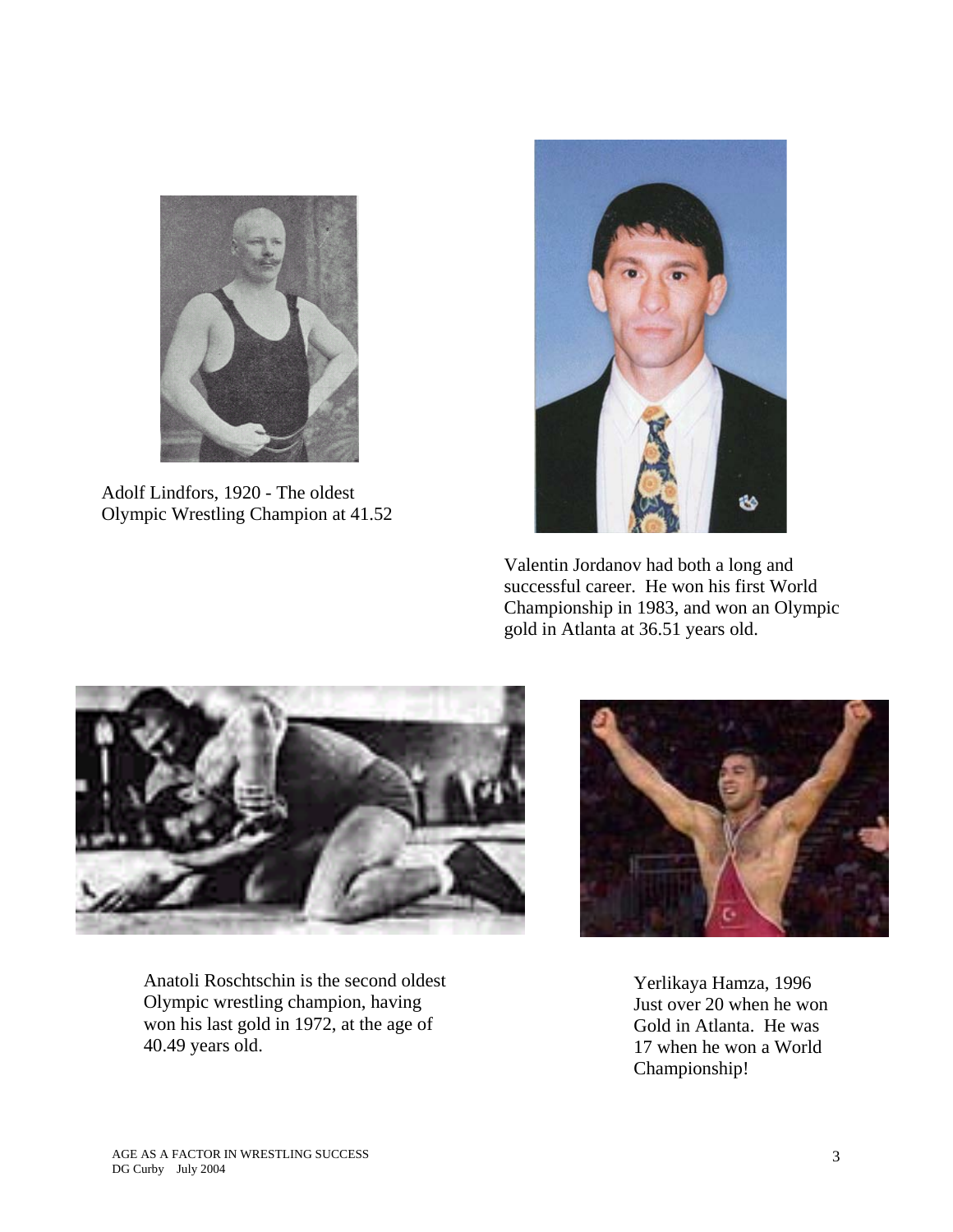

Adolf Lindfors, 1920 - The oldest Olympic Wrestling Champion at 41.52



 Valentin Jordanov had both a long and successful career. He won his first World Championship in 1983, and won an Olympic gold in Atlanta at 36.51 years old.



Anatoli Roschtschin is the second oldest Olympic wrestling champion, having won his last gold in 1972, at the age of 40.49 years old.



Yerlikaya Hamza, 1996 Just over 20 when he won Gold in Atlanta. He was 17 when he won a World Championship!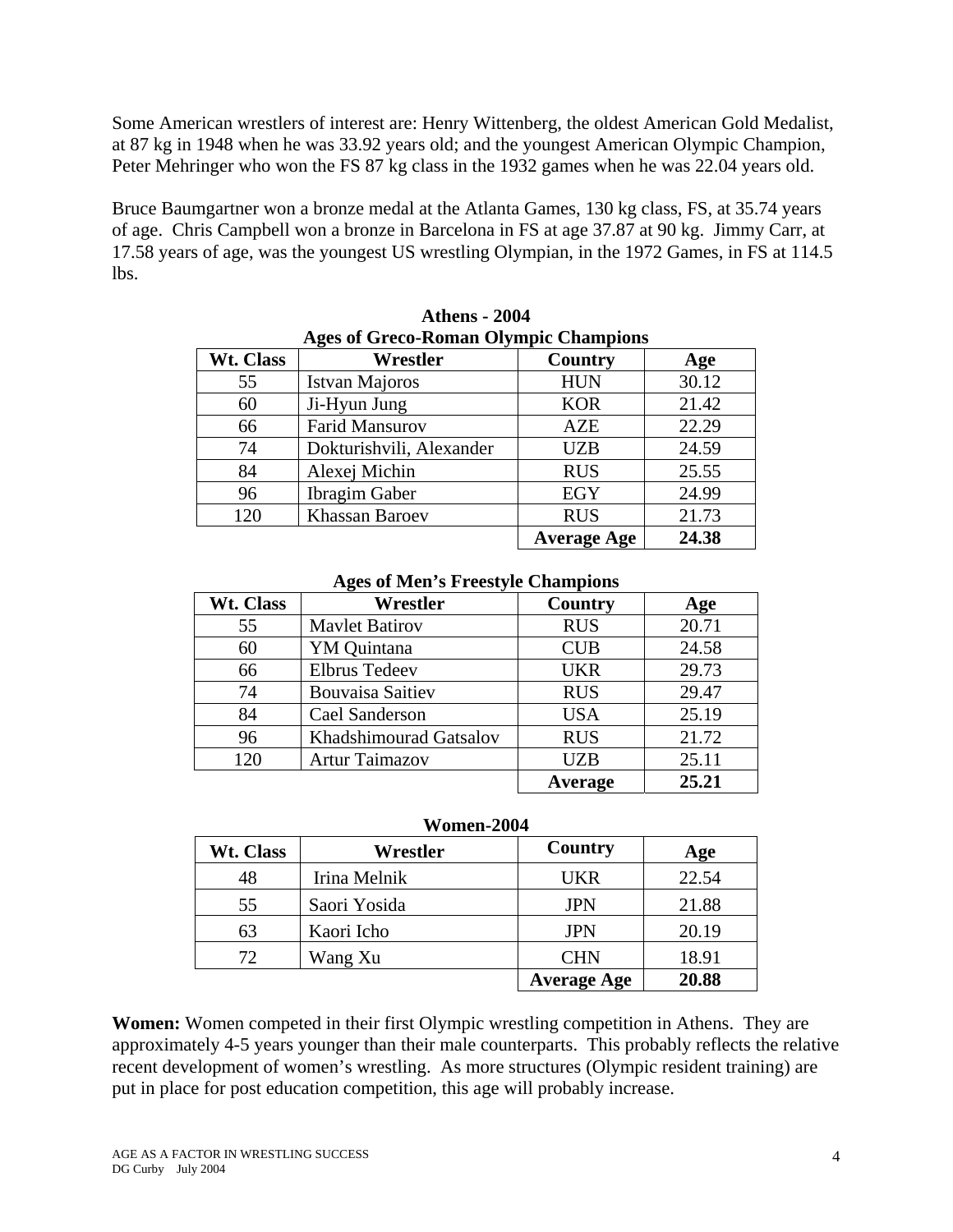Some American wrestlers of interest are: Henry Wittenberg, the oldest American Gold Medalist, at 87 kg in 1948 when he was 33.92 years old; and the youngest American Olympic Champion, Peter Mehringer who won the FS 87 kg class in the 1932 games when he was 22.04 years old.

Bruce Baumgartner won a bronze medal at the Atlanta Games, 130 kg class, FS, at 35.74 years of age. Chris Campbell won a bronze in Barcelona in FS at age 37.87 at 90 kg. Jimmy Carr, at 17.58 years of age, was the youngest US wrestling Olympian, in the 1972 Games, in FS at 114.5 lbs.

| Wt. Class | Wrestler                 | Country            | Age   |
|-----------|--------------------------|--------------------|-------|
| 55        | <b>Istvan Majoros</b>    | <b>HUN</b>         | 30.12 |
| 60        | Ji-Hyun Jung             | <b>KOR</b>         | 21.42 |
| 66        | <b>Farid Mansurov</b>    | AZE                | 22.29 |
| 74        | Dokturishvili, Alexander | <b>UZB</b>         | 24.59 |
| 84        | Alexej Michin            | <b>RUS</b>         | 25.55 |
| 96        | <b>Ibragim Gaber</b>     | EGY                | 24.99 |
| 120       | <b>Khassan Baroev</b>    | <b>RUS</b>         | 21.73 |
|           |                          | <b>Average Age</b> | 24.38 |

**Athens - 2004 Ages of Greco-Roman Olympic Champions** 

#### **Ages of Men's Freestyle Champions**

| Wt. Class | Wrestler                | Country    | Age   |
|-----------|-------------------------|------------|-------|
| 55        | <b>Maylet Batirov</b>   | <b>RUS</b> | 20.71 |
| 60        | YM Quintana             | <b>CUB</b> | 24.58 |
| 66        | <b>Elbrus Tedeev</b>    | <b>UKR</b> | 29.73 |
| 74        | <b>Bouvaisa Saitiev</b> | <b>RUS</b> | 29.47 |
| 84        | Cael Sanderson          | <b>USA</b> | 25.19 |
| 96        | Khadshimourad Gatsalov  | <b>RUS</b> | 21.72 |
| 120       | <b>Artur Taimazov</b>   | <b>UZB</b> | 25.11 |
|           |                         | Average    | 25.21 |

| Women-2004 |  |
|------------|--|
|            |  |

| Wt. Class | Wrestler     | Country            | Age   |
|-----------|--------------|--------------------|-------|
| 48        | Irina Melnik | <b>UKR</b>         | 22.54 |
| 55        | Saori Yosida | <b>JPN</b>         | 21.88 |
| 63        | Kaori Icho   | <b>JPN</b>         | 20.19 |
|           | Wang Xu      | <b>CHN</b>         | 18.91 |
|           |              | <b>Average Age</b> | 20.88 |

**Women:** Women competed in their first Olympic wrestling competition in Athens. They are approximately 4-5 years younger than their male counterparts. This probably reflects the relative recent development of women's wrestling. As more structures (Olympic resident training) are put in place for post education competition, this age will probably increase.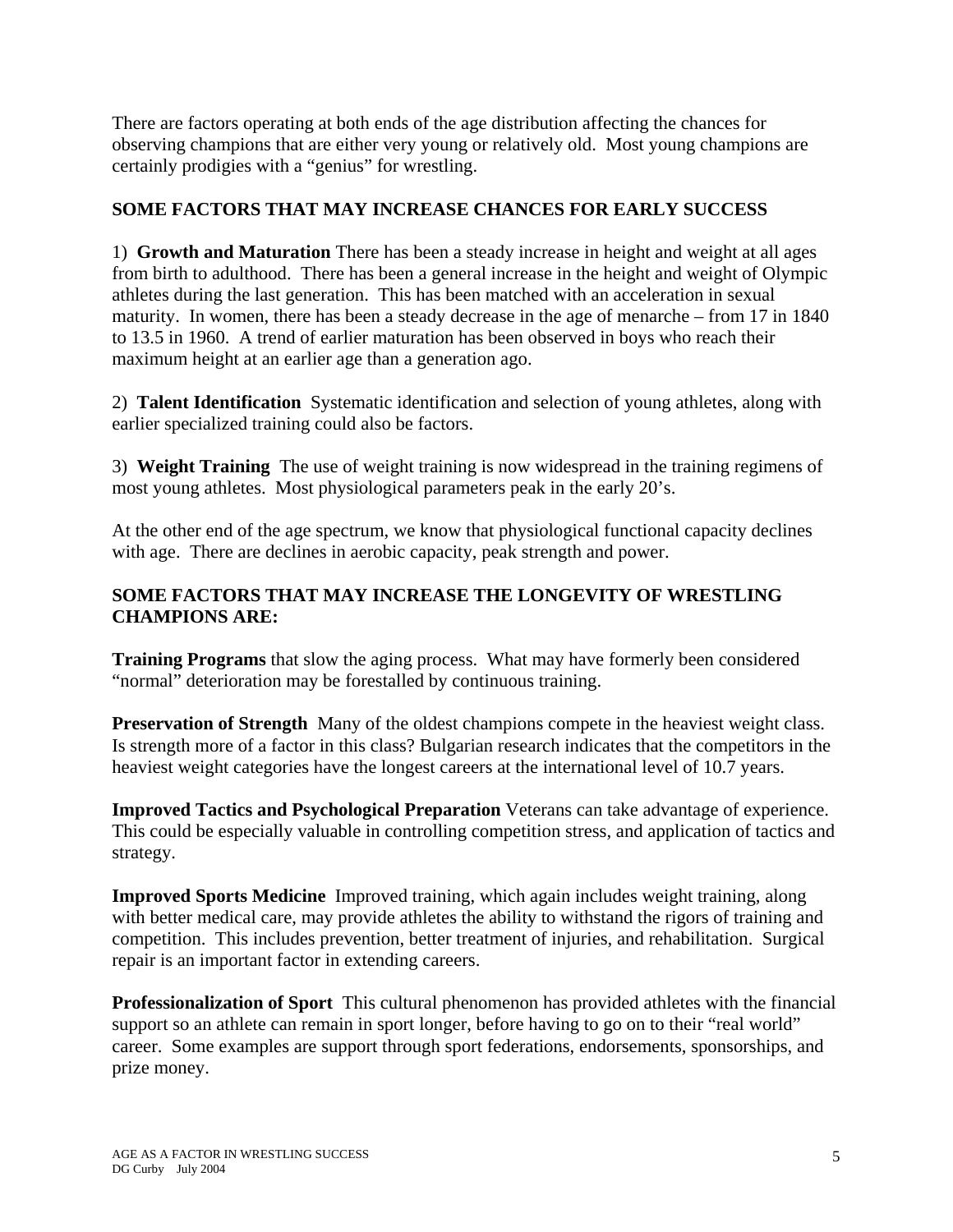There are factors operating at both ends of the age distribution affecting the chances for observing champions that are either very young or relatively old. Most young champions are certainly prodigies with a "genius" for wrestling.

## **SOME FACTORS THAT MAY INCREASE CHANCES FOR EARLY SUCCESS**

1) **Growth and Maturation** There has been a steady increase in height and weight at all ages from birth to adulthood. There has been a general increase in the height and weight of Olympic athletes during the last generation. This has been matched with an acceleration in sexual maturity. In women, there has been a steady decrease in the age of menarche – from 17 in 1840 to 13.5 in 1960. A trend of earlier maturation has been observed in boys who reach their maximum height at an earlier age than a generation ago.

2) **Talent Identification** Systematic identification and selection of young athletes, along with earlier specialized training could also be factors.

3) **Weight Training** The use of weight training is now widespread in the training regimens of most young athletes. Most physiological parameters peak in the early 20's.

At the other end of the age spectrum, we know that physiological functional capacity declines with age. There are declines in aerobic capacity, peak strength and power.

# **SOME FACTORS THAT MAY INCREASE THE LONGEVITY OF WRESTLING CHAMPIONS ARE:**

**Training Programs** that slow the aging process. What may have formerly been considered "normal" deterioration may be forestalled by continuous training.

**Preservation of Strength** Many of the oldest champions compete in the heaviest weight class. Is strength more of a factor in this class? Bulgarian research indicates that the competitors in the heaviest weight categories have the longest careers at the international level of 10.7 years.

**Improved Tactics and Psychological Preparation** Veterans can take advantage of experience. This could be especially valuable in controlling competition stress, and application of tactics and strategy.

**Improved Sports Medicine** Improved training, which again includes weight training, along with better medical care, may provide athletes the ability to withstand the rigors of training and competition. This includes prevention, better treatment of injuries, and rehabilitation. Surgical repair is an important factor in extending careers.

**Professionalization of Sport** This cultural phenomenon has provided athletes with the financial support so an athlete can remain in sport longer, before having to go on to their "real world" career. Some examples are support through sport federations, endorsements, sponsorships, and prize money.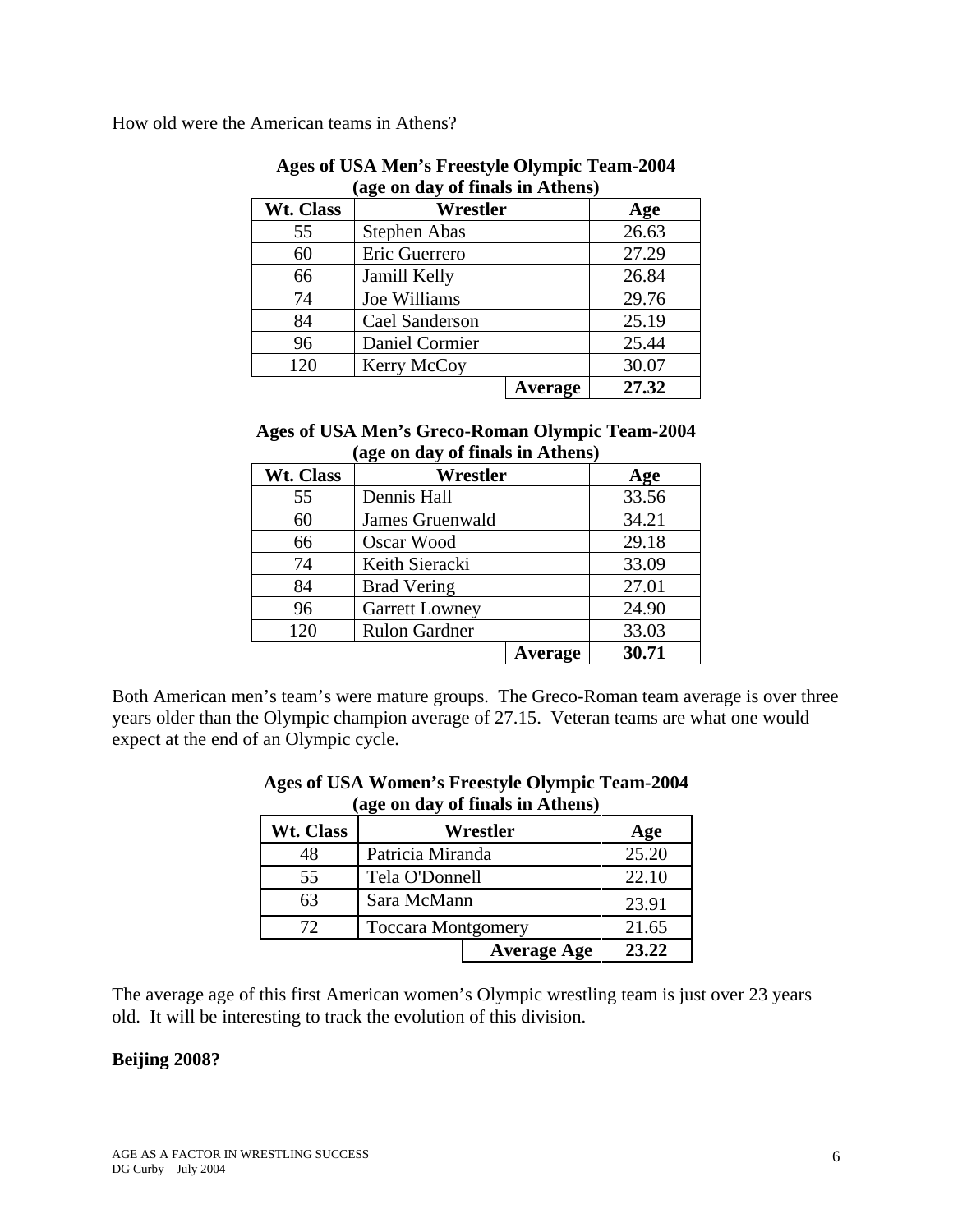How old were the American teams in Athens?

|           | age on uay of finals in Athens) |                |       |
|-----------|---------------------------------|----------------|-------|
| Wt. Class | Wrestler                        |                | Age   |
| 55        | <b>Stephen Abas</b>             |                | 26.63 |
| 60        | Eric Guerrero                   |                | 27.29 |
| 66        | Jamill Kelly                    |                | 26.84 |
| 74        | Joe Williams                    |                | 29.76 |
| 84        | Cael Sanderson                  |                | 25.19 |
| 96        | Daniel Cormier                  |                | 25.44 |
| 120       | Kerry McCoy                     |                | 30.07 |
|           |                                 | <b>Average</b> | 27.32 |

### **Ages of USA Men's Freestyle Olympic Team-2004 (age on day of finals in Athens)**

### **Ages of USA Men's Greco-Roman Olympic Team-2004 (age on day of finals in Athens)**

| Wt. Class | Wrestler              |         | Age   |
|-----------|-----------------------|---------|-------|
| 55        | Dennis Hall           |         | 33.56 |
| 60        | James Gruenwald       |         | 34.21 |
| 66        | Oscar Wood            |         | 29.18 |
| 74        | Keith Sieracki        |         | 33.09 |
| 84        | <b>Brad Vering</b>    |         | 27.01 |
| 96        | <b>Garrett Lowney</b> |         | 24.90 |
| 120       | <b>Rulon Gardner</b>  |         | 33.03 |
|           |                       | Average | 30.71 |

Both American men's team's were mature groups. The Greco-Roman team average is over three years older than the Olympic champion average of 27.15. Veteran teams are what one would expect at the end of an Olympic cycle.

| $\alpha_{\rm sc}$ on $\alpha_{\rm d}$ or mans in Amens, |                           |                    |       |
|---------------------------------------------------------|---------------------------|--------------------|-------|
| Wt. Class                                               | Wrestler                  |                    | Age   |
| 48                                                      | Patricia Miranda          |                    | 25.20 |
| 55                                                      | Tela O'Donnell            |                    | 22.10 |
| 63                                                      | Sara McMann               |                    | 23.91 |
| 72                                                      | <b>Toccara Montgomery</b> |                    | 21.65 |
|                                                         |                           | <b>Average Age</b> | 23.22 |

#### **Ages of USA Women's Freestyle Olympic Team-2004 (age on day of finals in Athens)**

The average age of this first American women's Olympic wrestling team is just over 23 years old. It will be interesting to track the evolution of this division.

### **Beijing 2008?**